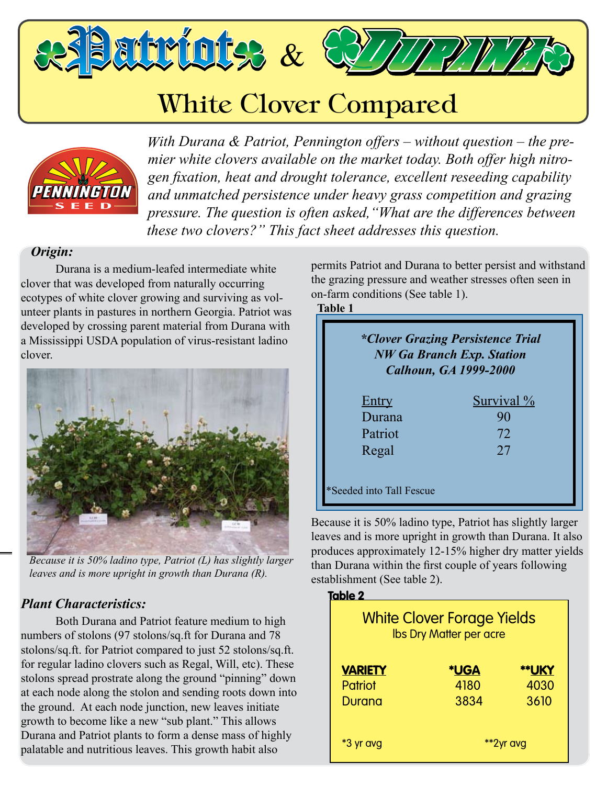atriots &

# White Clover Compared



**The Durable, All Purpose White Clover** *gen fixation, heat and drought tolerance, excellent reseeding capability With Durana & Patriot, Pennington offers – without question – the premier white clovers available on the market today. Both offer high nitroand unmatched persistence under heavy grass competition and grazing pressure. The question is often asked,"What are the differences between these two clovers?" This fact sheet addresses this question.*

# *Origin:*

Durana is a medium-leafed intermediate white clover that was developed from naturally occurring ecotypes of white clover growing and surviving as volunteer plants in pastures in northern Georgia. Patriot was developed by crossing parent material from Durana with a Mississippi USDA population of virus-resistant ladino clover.



*Because it is 50% ladino type, Patriot (L) has slightly larger leaves and is more upright in growth than Durana (R).*

## *Plant Characteristics:*

Both Durana and Patriot feature medium to high numbers of stolons (97 stolons/sq.ft for Durana and 78 stolons/sq.ft. for Patriot compared to just 52 stolons/sq.ft. for regular ladino clovers such as Regal, Will, etc). These stolons spread prostrate along the ground "pinning" down at each node along the stolon and sending roots down into the ground. At each node junction, new leaves initiate growth to become like a new "sub plant." This allows Durana and Patriot plants to form a dense mass of highly palatable and nutritious leaves. This growth habit also

permits Patriot and Durana to better persist and withstand the grazing pressure and weather stresses often seen in on-farm conditions (See table 1).

**Table 1**

| *Clover Grazing Persistence Trial<br><b>NW Ga Branch Exp. Station</b><br><b>Calhoun, GA 1999-2000</b> |            |  |
|-------------------------------------------------------------------------------------------------------|------------|--|
| <u>Entry</u>                                                                                          | Survival % |  |
| Durana                                                                                                | 90         |  |
| Patriot                                                                                               | 72         |  |
| Regal                                                                                                 | 27         |  |
| *Seeded into Tall Fescue                                                                              |            |  |

Because it is 50% ladino type, Patriot has slightly larger leaves and is more upright in growth than Durana. It also produces approximately 12-15% higher dry matter yields than Durana within the first couple of years following establishment (See table 2).

| Table 2<br><b>White Clover Forage Yields</b><br><b>Ibs Dry Matter per acre</b> |             |       |  |
|--------------------------------------------------------------------------------|-------------|-------|--|
| <b>VARIETY</b>                                                                 | <b>*UGA</b> | **UKY |  |
| Patriot                                                                        | 4180        | 4030  |  |
| Durana                                                                         | 3834        | 3610  |  |
| *3 yr avg                                                                      | **2yr avg   |       |  |